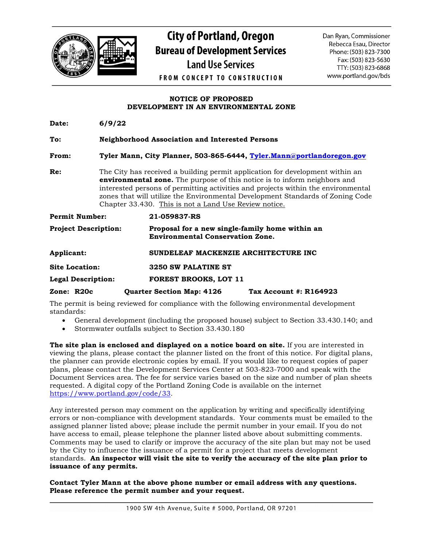

## **City of Portland, Oregon Bureau of Development Services Land Use Services**

Dan Ryan, Commissioner Rebecca Esau, Director Phone: (503) 823-7300 Fax: (503) 823-5630 TTY: (503) 823-6868 www.portland.gov/bds

**FROM CONCEPT TO CONSTRUCTION** 

## **NOTICE OF PROPOSED DEVELOPMENT IN AN ENVIRONMENTAL ZONE**

| Date:                       | 6/9/22 |                                                                                                                                                                                                                                                                                                                                                                                                   |
|-----------------------------|--------|---------------------------------------------------------------------------------------------------------------------------------------------------------------------------------------------------------------------------------------------------------------------------------------------------------------------------------------------------------------------------------------------------|
| To:                         |        | <b>Neighborhood Association and Interested Persons</b>                                                                                                                                                                                                                                                                                                                                            |
| From:                       |        | Tyler Mann, City Planner, 503-865-6444, Tyler.Mann@portlandoregon.gov                                                                                                                                                                                                                                                                                                                             |
| Re:                         |        | The City has received a building permit application for development within an<br><b>environmental zone.</b> The purpose of this notice is to inform neighbors and<br>interested persons of permitting activities and projects within the environmental<br>zones that will utilize the Environmental Development Standards of Zoning Code<br>Chapter 33.430. This is not a Land Use Review notice. |
| <b>Permit Number:</b>       |        | 21-059837-RS                                                                                                                                                                                                                                                                                                                                                                                      |
| <b>Project Description:</b> |        | Proposal for a new single-family home within an<br><b>Environmental Conservation Zone.</b>                                                                                                                                                                                                                                                                                                        |
| Applicant:                  |        | SUNDELEAF MACKENZIE ARCHITECTURE INC                                                                                                                                                                                                                                                                                                                                                              |
| <b>Site Location:</b>       |        | 3250 SW PALATINE ST                                                                                                                                                                                                                                                                                                                                                                               |
| <b>Legal Description:</b>   |        | <b>FOREST BROOKS, LOT 11</b>                                                                                                                                                                                                                                                                                                                                                                      |
| Zone: R20c                  |        | <b>Quarter Section Map: 4126</b><br>Tax Account #: R164923                                                                                                                                                                                                                                                                                                                                        |

The permit is being reviewed for compliance with the following environmental development standards:

- General development (including the proposed house) subject to Section 33.430.140; and
- Stormwater outfalls subject to Section 33.430.180

**The site plan is enclosed and displayed on a notice board on site.** If you are interested in viewing the plans, please contact the planner listed on the front of this notice. For digital plans, the planner can provide electronic copies by email. If you would like to request copies of paper plans, please contact the Development Services Center at 503-823-7000 and speak with the Document Services area. The fee for service varies based on the size and number of plan sheets requested. A digital copy of the Portland Zoning Code is available on the internet [https://www.portland.gov/code/33.](https://www.portland.gov/code/33)

Any interested person may comment on the application by writing and specifically identifying errors or non-compliance with development standards. Your comments must be emailed to the assigned planner listed above; please include the permit number in your email. If you do not have access to email, please telephone the planner listed above about submitting comments. Comments may be used to clarify or improve the accuracy of the site plan but may not be used by the City to influence the issuance of a permit for a project that meets development standards. **An inspector will visit the site to verify the accuracy of the site plan prior to issuance of any permits.**

**Contact Tyler Mann at the above phone number or email address with any questions. Please reference the permit number and your request.**